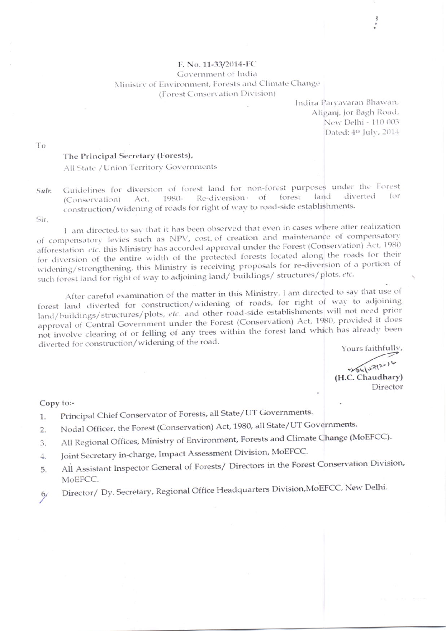## F. No. 11-33/2014-FC Government of India Ministry of Environment, Forests and Climate Change (Forest Conservation Division)

Indira Paryavaran Bhawan, Aliganj, Jor Bagh Road, New Delhi - 110 003 Dated: 4th July, 2014

To

## The Principal Secretary (Forests),

All State / Union Territory Governments

Guidelines for diversion of forest land for non-forest purposes under the Forest  $Sub:$ forest land diverted 1980- Re-diversion of (Conservation) Act, construction/widening of roads for right of way to road-side establishments.

Sir.

1 am directed to say that it has been observed that even in cases where after realization of compensatory levies such as NPV, cost of creation and maintenance of compensatory afforestation etc. this Ministry has accorded approval under the Forest (Conservation) Act, 1980 for diversion of the entire width of the protected forests located along the roads for their widening/strengthening, this Ministry is receiving proposals for re-diversion of a portion of such forest land for right of way to adjoining land/ buildings/ structures/plots, etc.

After careful examination of the matter in this Ministry, I am directed to say that use of forest land diverted for construction/widening of roads, for right of way to adjoining land/buildings/structures/plots, etc. and other road-side establishments will not need prior approval of Central Government under the Forest (Conservation) Act, 1980, provided it does not involve clearing of or felling of any trees within the forest land which has already been diverted for construction/widening of the road.

Yours faithfully,

204/07/2014 (H.C. Chaudhary) Director

## Copy to:-

- Principal Chief Conservator of Forests, all State/UT Governments.  $1.$
- Nodal Officer, the Forest (Conservation) Act, 1980, all State/UT Governments.  $2.$
- All Regional Offices, Ministry of Environment, Forests and Climate Change (MoEFCC). 3.
- Joint Secretary in-charge, Impact Assessment Division, MoEFCC.  $4.$
- All Assistant Inspector General of Forests/ Directors in the Forest Conservation Division, 5. MoEFCC.
- Director/ Dy. Secretary, Regional Office Headquarters Division, MoEFCC, New Delhi.  $6/$